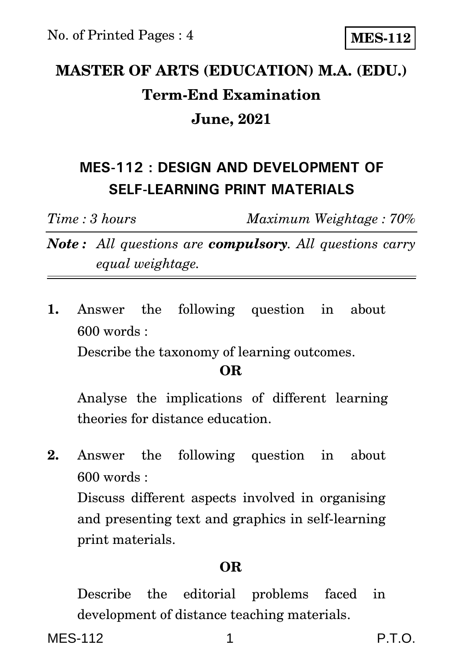**MES-112**

# **MASTER OF ARTS (EDUCATION) M.A. (EDU.) Term-End Examination June, 2021**

### **MES-112 : DESIGN AND DEVELOPMENT OF SELF-LEARNING PRINT MATERIALS**

*Time : 3 hours Maximum Weightage : 70%*

*Note : All questions are compulsory. All questions carry equal weightage.*

**1.** Answer the following question in about 600 words :

Describe the taxonomy of learning outcomes.

### **OR**

Analyse the implications of different learning theories for distance education.

**2.** Answer the following question in about 600 words : Discuss different aspects involved in organising and presenting text and graphics in self-learning print materials.

### **OR**

Describe the editorial problems faced in development of distance teaching materials.

MES-112 1 P.T.O.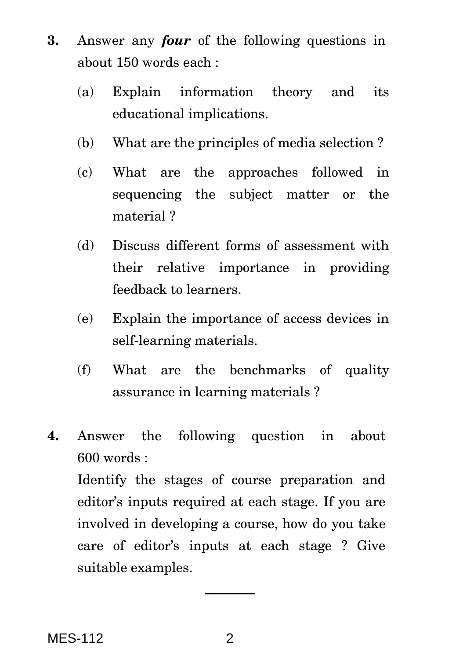- **3.** Answer any *four* of the following questions in about 150 words each :
	- (a) Explain information theory and its educational implications.
	- (b) What are the principles of media selection ?
	- (c) What are the approaches followed in sequencing the subject matter or the material ?
	- (d) Discuss different forms of assessment with their relative importance in providing feedback to learners.
	- (e) Explain the importance of access devices in self-learning materials.
	- (f) What are the benchmarks of quality assurance in learning materials ?
- **4.** Answer the following question in about 600 words :

Identify the stages of course preparation and editor's inputs required at each stage. If you are involved in developing a course, how do you take care of editor's inputs at each stage ? Give suitable examples.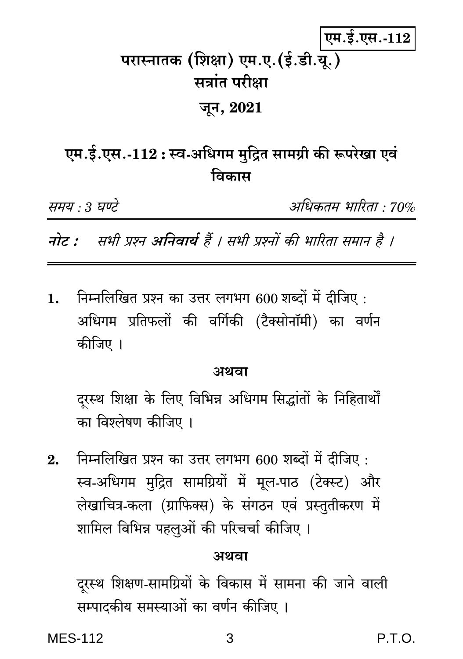## एम.ई.एस.-112 परास्नातक (शिक्षा) एम.ए. (ई.डी.यू.) सत्रांत परीक्षा जून, 2021

## एम.ई.एस.-112:स्व-अधिगम मुद्रित सामग्री की रूपरेखा एवं विकाम

समय : 3 घण्टे

अधिकतम भारिता : 70%

नोट : सभी प्रश्न अनिवार्य हैं । सभी प्रश्नों की भारिता समान है ।

निम्नलिखित प्रश्न का उत्तर लगभग 600 शब्दों में दीजिए:  $1<sub>1</sub>$ अधिगम प्रतिफलों की वर्गिकी (टैक्सोनॉमी) का वर्णन कीजिए ।

### अथवा

दुरस्थ शिक्षा के लिए विभिन्न अधिगम सिद्धांतों के निहितार्थों का विश्लेषण कीजिए ।

निम्नलिखित प्रश्न का उत्तर लगभग 600 शब्दों में दीजिए: 2. स्व-अधिगम मुद्रित सामग्रियों में मूल-पाठ (टेक्स्ट) और लेखाचित्र-कला (ग्राफिक्स) के संगठन एवं प्रस्तुतीकरण में शामिल विभिन्न पहलुओं की परिचर्चा कीजिए ।

### अथवा

दूरस्थ शिक्षण-सामग्रियों के विकास में सामना की जाने वाली सम्पादकीय समस्याओं का वर्णन कीजिए ।